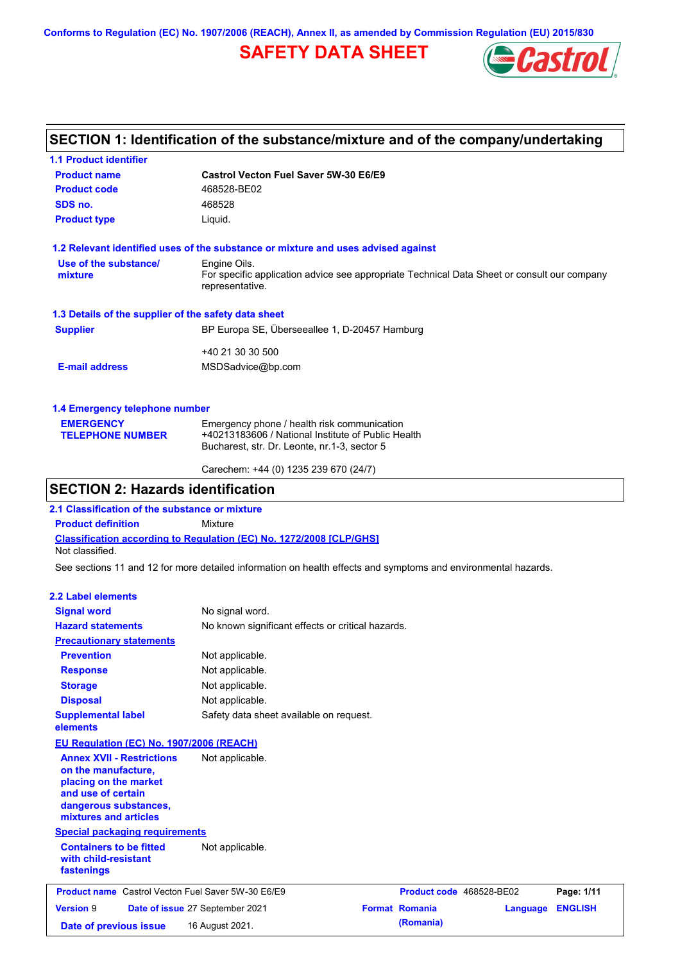**Conforms to Regulation (EC) No. 1907/2006 (REACH), Annex II, as amended by Commission Regulation (EU) 2015/830**

# **SAFETY DATA SHEET**



# **SECTION 1: Identification of the substance/mixture and of the company/undertaking**

| <b>1.1 Product identifier</b>                        |                                                                                                                |
|------------------------------------------------------|----------------------------------------------------------------------------------------------------------------|
| <b>Product name</b>                                  | Castrol Vecton Fuel Saver 5W-30 E6/E9                                                                          |
| <b>Product code</b>                                  | 468528-BE02                                                                                                    |
| SDS no.                                              | 468528                                                                                                         |
| <b>Product type</b>                                  | Liquid.                                                                                                        |
|                                                      | 1.2 Relevant identified uses of the substance or mixture and uses advised against                              |
| Use of the substance/                                | Engine Oils.                                                                                                   |
| mixture                                              | For specific application advice see appropriate Technical Data Sheet or consult our company<br>representative. |
| 1.3 Details of the supplier of the safety data sheet |                                                                                                                |
| <b>Supplier</b>                                      | BP Europa SE, Überseeallee 1, D-20457 Hamburg                                                                  |
|                                                      | +40 21 30 30 500                                                                                               |
| <b>E-mail address</b>                                | MSDSadvice@bp.com                                                                                              |
| 1.4 Emergency telephone number                       |                                                                                                                |
| <b>EMERGENCY</b>                                     | Emergency phone / health risk communication                                                                    |
| <b>TELEPHONE NUMBER</b>                              | +40213183606 / National Institute of Public Health                                                             |
|                                                      | Bucharest, str. Dr. Leonte, nr.1-3, sector 5                                                                   |

Carechem: +44 (0) 1235 239 670 (24/7)

## **SECTION 2: Hazards identification**

**2.1 Classification of the substance or mixture**

**Product definition** Mixture

**Classification according to Regulation (EC) No. 1272/2008 [CLP/GHS]** Not classified.

See sections 11 and 12 for more detailed information on health effects and symptoms and environmental hazards.

#### **2.2 Label elements**

| <b>Signal word</b>                                                                                                                                       | No signal word.                                   |                       |                          |                |
|----------------------------------------------------------------------------------------------------------------------------------------------------------|---------------------------------------------------|-----------------------|--------------------------|----------------|
| <b>Hazard statements</b>                                                                                                                                 | No known significant effects or critical hazards. |                       |                          |                |
| <b>Precautionary statements</b>                                                                                                                          |                                                   |                       |                          |                |
| <b>Prevention</b>                                                                                                                                        | Not applicable.                                   |                       |                          |                |
| <b>Response</b>                                                                                                                                          | Not applicable.                                   |                       |                          |                |
| <b>Storage</b>                                                                                                                                           | Not applicable.                                   |                       |                          |                |
| <b>Disposal</b>                                                                                                                                          | Not applicable.                                   |                       |                          |                |
| <b>Supplemental label</b><br>elements                                                                                                                    | Safety data sheet available on request.           |                       |                          |                |
| <b>EU Regulation (EC) No. 1907/2006 (REACH)</b>                                                                                                          |                                                   |                       |                          |                |
| <b>Annex XVII - Restrictions</b><br>on the manufacture,<br>placing on the market<br>and use of certain<br>dangerous substances,<br>mixtures and articles | Not applicable.                                   |                       |                          |                |
| <b>Special packaging requirements</b>                                                                                                                    |                                                   |                       |                          |                |
| <b>Containers to be fitted</b><br>with child-resistant<br>fastenings                                                                                     | Not applicable.                                   |                       |                          |                |
| <b>Product name</b> Castrol Vecton Fuel Saver 5W-30 E6/E9                                                                                                |                                                   |                       | Product code 468528-BE02 | Page: 1/11     |
| <b>Version 9</b>                                                                                                                                         | Date of issue 27 September 2021                   | <b>Format Romania</b> | Language                 | <b>ENGLISH</b> |
| Date of previous issue                                                                                                                                   | 16 August 2021.                                   | (Romania)             |                          |                |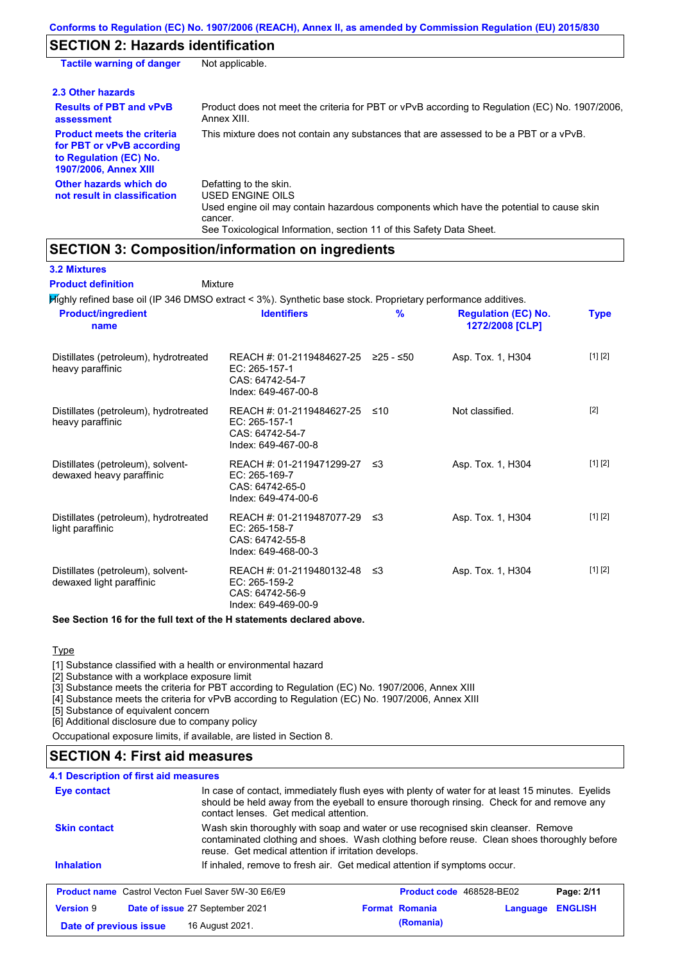# **SECTION 2: Hazards identification**

| <b>Tactile warning of danger</b>                                                                                         | Not applicable.                                                                                                                                                                                                          |
|--------------------------------------------------------------------------------------------------------------------------|--------------------------------------------------------------------------------------------------------------------------------------------------------------------------------------------------------------------------|
| 2.3 Other hazards                                                                                                        |                                                                                                                                                                                                                          |
| <b>Results of PBT and vPvB</b><br>assessment                                                                             | Product does not meet the criteria for PBT or vPvB according to Regulation (EC) No. 1907/2006,<br>Annex XIII.                                                                                                            |
| <b>Product meets the criteria</b><br>for PBT or vPvB according<br>to Regulation (EC) No.<br><b>1907/2006, Annex XIII</b> | This mixture does not contain any substances that are assessed to be a PBT or a vPvB.                                                                                                                                    |
| Other hazards which do<br>not result in classification                                                                   | Defatting to the skin.<br>USED ENGINE OILS<br>Used engine oil may contain hazardous components which have the potential to cause skin<br>cancer.<br>See Toxicological Information, section 11 of this Safety Data Sheet. |

## **SECTION 3: Composition/information on ingredients**

| <b>3.2 Mixtures</b>                                           |                                                                                                             |               |                                               |             |
|---------------------------------------------------------------|-------------------------------------------------------------------------------------------------------------|---------------|-----------------------------------------------|-------------|
| <b>Product definition</b>                                     | Mixture                                                                                                     |               |                                               |             |
|                                                               | 所ghly refined base oil (IP 346 DMSO extract < 3%). Synthetic base stock. Proprietary performance additives. |               |                                               |             |
| <b>Product/ingredient</b><br>name                             | <b>Identifiers</b>                                                                                          | $\frac{9}{6}$ | <b>Regulation (EC) No.</b><br>1272/2008 [CLP] | <b>Type</b> |
| Distillates (petroleum), hydrotreated<br>heavy paraffinic     | REACH #: 01-2119484627-25 ≥25 - ≤50<br>EC: 265-157-1<br>CAS: 64742-54-7<br>Index: 649-467-00-8              |               | Asp. Tox. 1, H304                             | [1] [2]     |
| Distillates (petroleum), hydrotreated<br>heavy paraffinic     | REACH #: 01-2119484627-25<br>EC: 265-157-1<br>CAS: 64742-54-7<br>Index: 649-467-00-8                        | ≤10           | Not classified.                               | $[2]$       |
| Distillates (petroleum), solvent-<br>dewaxed heavy paraffinic | REACH #: 01-2119471299-27<br>EC: 265-169-7<br>CAS: 64742-65-0<br>Index: 649-474-00-6                        | ו≥ ≤          | Asp. Tox. 1, H304                             | [1] [2]     |
| Distillates (petroleum), hydrotreated<br>light paraffinic     | REACH #: 01-2119487077-29<br>EC: 265-158-7<br>CAS: 64742-55-8<br>Index: 649-468-00-3                        | ו≥ _          | Asp. Tox. 1, H304                             | [1] [2]     |
| Distillates (petroleum), solvent-<br>dewaxed light paraffinic | REACH #: 01-2119480132-48<br>EC: 265-159-2<br>CAS: 64742-56-9<br>Index: 649-469-00-9                        | -≤3           | Asp. Tox. 1, H304                             | [1] [2]     |

#### **See Section 16 for the full text of the H statements declared above.**

#### **Type**

[1] Substance classified with a health or environmental hazard

[2] Substance with a workplace exposure limit

[3] Substance meets the criteria for PBT according to Regulation (EC) No. 1907/2006, Annex XIII

[4] Substance meets the criteria for vPvB according to Regulation (EC) No. 1907/2006, Annex XIII

[5] Substance of equivalent concern

[6] Additional disclosure due to company policy Occupational exposure limits, if available, are listed in Section 8.

## **SECTION 4: First aid measures**

| <b>4.1 Description of first aid measures</b>              |                                                                                                                                                                                                                                         |                                 |          |                |
|-----------------------------------------------------------|-----------------------------------------------------------------------------------------------------------------------------------------------------------------------------------------------------------------------------------------|---------------------------------|----------|----------------|
| Eye contact                                               | In case of contact, immediately flush eyes with plenty of water for at least 15 minutes. Eyelids<br>should be held away from the eyeball to ensure thorough rinsing. Check for and remove any<br>contact lenses. Get medical attention. |                                 |          |                |
| <b>Skin contact</b>                                       | Wash skin thoroughly with soap and water or use recognised skin cleanser. Remove<br>contaminated clothing and shoes. Wash clothing before reuse. Clean shoes thoroughly before<br>reuse. Get medical attention if irritation develops.  |                                 |          |                |
|                                                           |                                                                                                                                                                                                                                         |                                 |          |                |
| <b>Inhalation</b>                                         | If inhaled, remove to fresh air. Get medical attention if symptoms occur.                                                                                                                                                               |                                 |          |                |
| <b>Product name</b> Castrol Vecton Fuel Saver 5W-30 E6/E9 |                                                                                                                                                                                                                                         | <b>Product code</b> 468528-BE02 |          | Page: 2/11     |
| <b>Version 9</b>                                          | Date of issue 27 September 2021                                                                                                                                                                                                         | <b>Format Romania</b>           | Language | <b>ENGLISH</b> |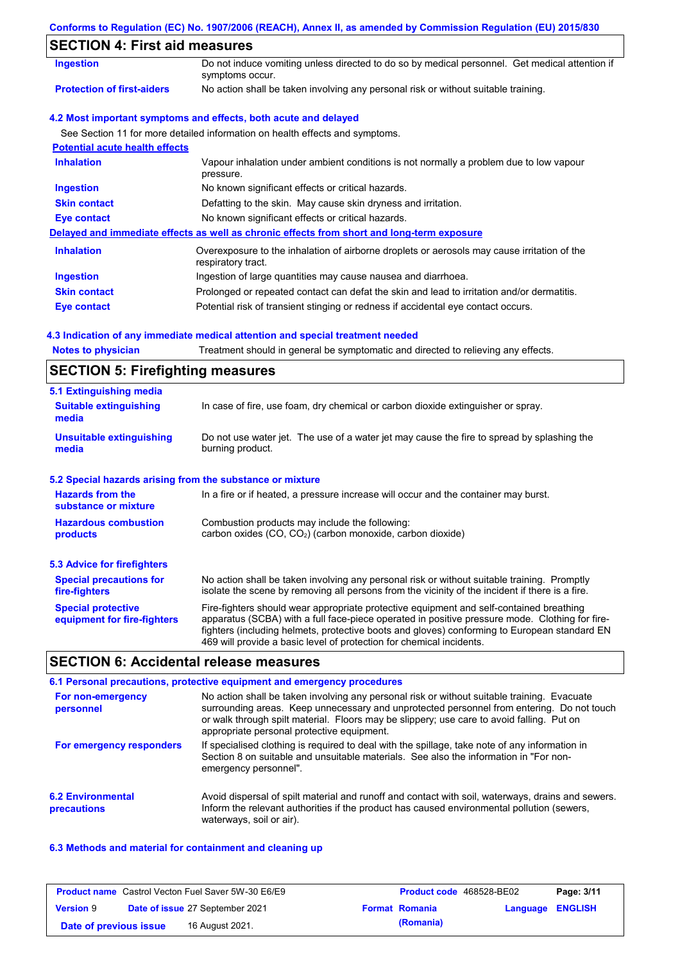#### **Conforms to Regulation (EC) No. 1907/2006 (REACH), Annex II, as amended by Commission Regulation (EU) 2015/830**

# **SECTION 4: First aid measures**

| SECTION 4. FIISLAID MEASURES          |                                                                                                                   |  |
|---------------------------------------|-------------------------------------------------------------------------------------------------------------------|--|
| <b>Ingestion</b>                      | Do not induce vomiting unless directed to do so by medical personnel. Get medical attention if<br>symptoms occur. |  |
| <b>Protection of first-aiders</b>     | No action shall be taken involving any personal risk or without suitable training.                                |  |
|                                       | 4.2 Most important symptoms and effects, both acute and delayed                                                   |  |
|                                       | See Section 11 for more detailed information on health effects and symptoms.                                      |  |
| <b>Potential acute health effects</b> |                                                                                                                   |  |
| <b>Inhalation</b>                     | Vapour inhalation under ambient conditions is not normally a problem due to low vapour<br>pressure.               |  |
| Ingestion                             | No known significant effects or critical hazards.                                                                 |  |
| <b>Skin contact</b>                   | Defatting to the skin. May cause skin dryness and irritation.                                                     |  |
| Eye contact                           | No known significant effects or critical hazards.                                                                 |  |
|                                       | Delayed and immediate effects as well as chronic effects from short and long-term exposure                        |  |
| <b>Inhalation</b>                     | Overexposure to the inhalation of airborne droplets or aerosols may cause irritation of the<br>respiratory tract. |  |
| <b>Ingestion</b>                      | Ingestion of large quantities may cause nausea and diarrhoea.                                                     |  |
| <b>Skin contact</b>                   | Prolonged or repeated contact can defat the skin and lead to irritation and/or dermatitis.                        |  |
| <b>Eye contact</b>                    | Potential risk of transient stinging or redness if accidental eye contact occurs.                                 |  |

#### **4.3 Indication of any immediate medical attention and special treatment needed**

| <b>Notes to physician</b> |  | Treatment should in general be symptomatic and directed to relieving any effects. |
|---------------------------|--|-----------------------------------------------------------------------------------|
|                           |  |                                                                                   |

## **SECTION 5: Firefighting measures**

| 5.1 Extinguishing media                                   |                                                                                                                                                                                                                                                                                                                                                                   |
|-----------------------------------------------------------|-------------------------------------------------------------------------------------------------------------------------------------------------------------------------------------------------------------------------------------------------------------------------------------------------------------------------------------------------------------------|
| <b>Suitable extinguishing</b><br>media                    | In case of fire, use foam, dry chemical or carbon dioxide extinguisher or spray.                                                                                                                                                                                                                                                                                  |
| <b>Unsuitable extinguishing</b><br>media                  | Do not use water jet. The use of a water jet may cause the fire to spread by splashing the<br>burning product.                                                                                                                                                                                                                                                    |
| 5.2 Special hazards arising from the substance or mixture |                                                                                                                                                                                                                                                                                                                                                                   |
| <b>Hazards from the</b><br>substance or mixture           | In a fire or if heated, a pressure increase will occur and the container may burst.                                                                                                                                                                                                                                                                               |
| <b>Hazardous combustion</b><br>products                   | Combustion products may include the following:<br>carbon oxides (CO, CO <sub>2</sub> ) (carbon monoxide, carbon dioxide)                                                                                                                                                                                                                                          |
| 5.3 Advice for firefighters                               |                                                                                                                                                                                                                                                                                                                                                                   |
| <b>Special precautions for</b><br>fire-fighters           | No action shall be taken involving any personal risk or without suitable training. Promptly<br>isolate the scene by removing all persons from the vicinity of the incident if there is a fire.                                                                                                                                                                    |
| <b>Special protective</b><br>equipment for fire-fighters  | Fire-fighters should wear appropriate protective equipment and self-contained breathing<br>apparatus (SCBA) with a full face-piece operated in positive pressure mode. Clothing for fire-<br>fighters (including helmets, protective boots and gloves) conforming to European standard EN<br>469 will provide a basic level of protection for chemical incidents. |

### **SECTION 6: Accidental release measures**

#### **6.2 Environmental precautions** Avoid dispersal of spilt material and runoff and contact with soil, waterways, drains and sewers. Inform the relevant authorities if the product has caused environmental pollution (sewers, waterways, soil or air). **6.1 Personal precautions, protective equipment and emergency procedures For non-emergency personnel For emergency responders** No action shall be taken involving any personal risk or without suitable training. Evacuate surrounding areas. Keep unnecessary and unprotected personnel from entering. Do not touch or walk through spilt material. Floors may be slippery; use care to avoid falling. Put on appropriate personal protective equipment. If specialised clothing is required to deal with the spillage, take note of any information in Section 8 on suitable and unsuitable materials. See also the information in "For nonemergency personnel".

#### **6.3 Methods and material for containment and cleaning up**

|                        | <b>Product name</b> Castrol Vecton Fuel Saver 5W-30 E6/E9 | <b>Product code</b> 468528-BE02 |                         | Page: 3/11 |
|------------------------|-----------------------------------------------------------|---------------------------------|-------------------------|------------|
| <b>Version 9</b>       | Date of issue 27 September 2021                           | <b>Format Romania</b>           | <b>Language ENGLISH</b> |            |
| Date of previous issue | 16 August 2021.                                           | (Romania)                       |                         |            |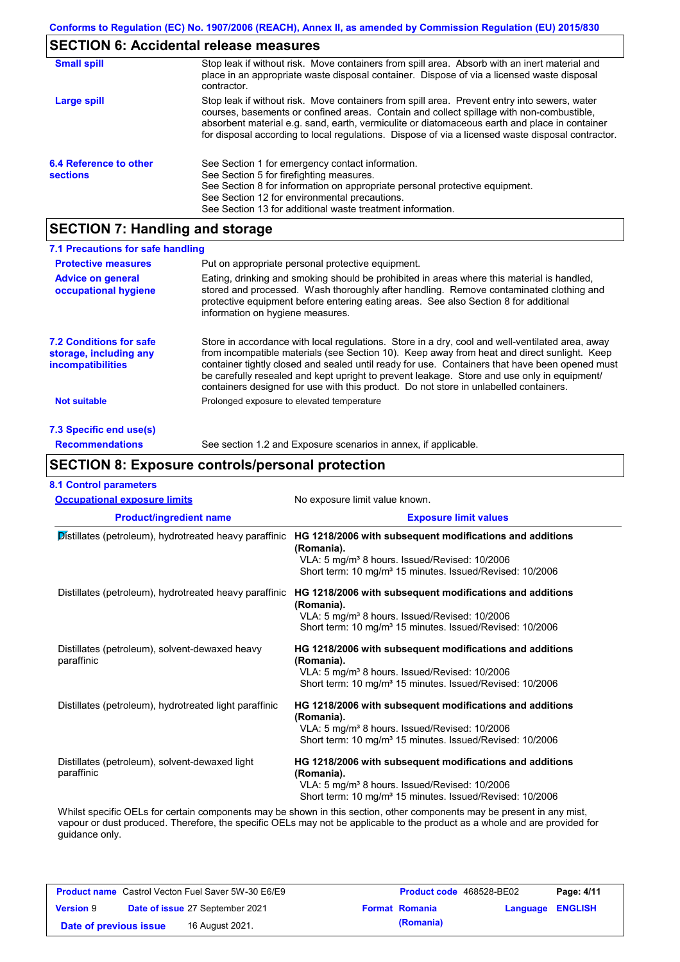# **SECTION 6: Accidental release measures**

| <b>Small spill</b>                        | Stop leak if without risk. Move containers from spill area. Absorb with an inert material and<br>place in an appropriate waste disposal container. Dispose of via a licensed waste disposal<br>contractor.                                                                                                                                                                                     |
|-------------------------------------------|------------------------------------------------------------------------------------------------------------------------------------------------------------------------------------------------------------------------------------------------------------------------------------------------------------------------------------------------------------------------------------------------|
| Large spill                               | Stop leak if without risk. Move containers from spill area. Prevent entry into sewers, water<br>courses, basements or confined areas. Contain and collect spillage with non-combustible,<br>absorbent material e.g. sand, earth, vermiculite or diatomaceous earth and place in container<br>for disposal according to local regulations. Dispose of via a licensed waste disposal contractor. |
| 6.4 Reference to other<br><b>sections</b> | See Section 1 for emergency contact information.<br>See Section 5 for firefighting measures.<br>See Section 8 for information on appropriate personal protective equipment.<br>See Section 12 for environmental precautions.<br>See Section 13 for additional waste treatment information.                                                                                                     |

# **SECTION 7: Handling and storage**

| 7.1 Precautions for safe handling                                                    |                                                                                                                                                                                                                                                                                                                                                                                                                                                                                          |
|--------------------------------------------------------------------------------------|------------------------------------------------------------------------------------------------------------------------------------------------------------------------------------------------------------------------------------------------------------------------------------------------------------------------------------------------------------------------------------------------------------------------------------------------------------------------------------------|
| <b>Protective measures</b>                                                           | Put on appropriate personal protective equipment.                                                                                                                                                                                                                                                                                                                                                                                                                                        |
| <b>Advice on general</b><br>occupational hygiene                                     | Eating, drinking and smoking should be prohibited in areas where this material is handled.<br>stored and processed. Wash thoroughly after handling. Remove contaminated clothing and<br>protective equipment before entering eating areas. See also Section 8 for additional<br>information on hygiene measures.                                                                                                                                                                         |
| <b>7.2 Conditions for safe</b><br>storage, including any<br><i>incompatibilities</i> | Store in accordance with local requiations. Store in a dry, cool and well-ventilated area, away<br>from incompatible materials (see Section 10). Keep away from heat and direct sunlight. Keep<br>container tightly closed and sealed until ready for use. Containers that have been opened must<br>be carefully resealed and kept upright to prevent leakage. Store and use only in equipment/<br>containers designed for use with this product. Do not store in unlabelled containers. |
| <b>Not suitable</b>                                                                  | Prolonged exposure to elevated temperature                                                                                                                                                                                                                                                                                                                                                                                                                                               |
| 7.3 Specific end use(s)                                                              |                                                                                                                                                                                                                                                                                                                                                                                                                                                                                          |
| <b>Recommendations</b>                                                               | See section 1.2 and Exposure scenarios in annex, if applicable.                                                                                                                                                                                                                                                                                                                                                                                                                          |

## **SECTION 8: Exposure controls/personal protection**

| <b>Occupational exposure limits</b>                          | No exposure limit value known.                                         |
|--------------------------------------------------------------|------------------------------------------------------------------------|
| <b>Product/ingredient name</b>                               | <b>Exposure limit values</b>                                           |
| Distillates (petroleum), hydrotreated heavy paraffinic       | HG 1218/2006 with subsequent modifications and additions<br>(Romania). |
|                                                              | VLA: 5 mg/m <sup>3</sup> 8 hours. Issued/Revised: 10/2006              |
|                                                              | Short term: 10 mg/m <sup>3</sup> 15 minutes. Issued/Revised: 10/2006   |
| Distillates (petroleum), hydrotreated heavy paraffinic       | HG 1218/2006 with subsequent modifications and additions<br>(Romania). |
|                                                              | VLA: 5 mg/m <sup>3</sup> 8 hours. Issued/Revised: 10/2006              |
|                                                              | Short term: 10 mg/m <sup>3</sup> 15 minutes. Issued/Revised: 10/2006   |
| Distillates (petroleum), solvent-dewaxed heavy<br>paraffinic | HG 1218/2006 with subsequent modifications and additions<br>(Romania). |
|                                                              | VLA: 5 mg/m <sup>3</sup> 8 hours. Issued/Revised: 10/2006              |
|                                                              | Short term: 10 mg/m <sup>3</sup> 15 minutes. Issued/Revised: 10/2006   |
| Distillates (petroleum), hydrotreated light paraffinic       | HG 1218/2006 with subsequent modifications and additions<br>(Romania). |
|                                                              | VLA: 5 mg/m <sup>3</sup> 8 hours. Issued/Revised: 10/2006              |
|                                                              | Short term: 10 mg/m <sup>3</sup> 15 minutes. Issued/Revised: 10/2006   |
| Distillates (petroleum), solvent-dewaxed light<br>paraffinic | HG 1218/2006 with subsequent modifications and additions<br>(Romania). |
|                                                              | VLA: 5 mg/m <sup>3</sup> 8 hours. Issued/Revised: 10/2006              |
|                                                              | Short term: 10 mg/m <sup>3</sup> 15 minutes. Issued/Revised: 10/2006   |

vapour or dust produced. Therefore, the specific OELs may not be applicable to the product as a whole and are provided for guidance only.

| <b>Product name</b> Castrol Vecton Fuel Saver 5W-30 E6/E9 |  | Product code 468528-BE02        |                       | Page: 4/11              |  |
|-----------------------------------------------------------|--|---------------------------------|-----------------------|-------------------------|--|
| <b>Version 9</b>                                          |  | Date of issue 27 September 2021 | <b>Format Romania</b> | <b>Language ENGLISH</b> |  |
| Date of previous issue                                    |  | 16 August 2021.                 | (Romania)             |                         |  |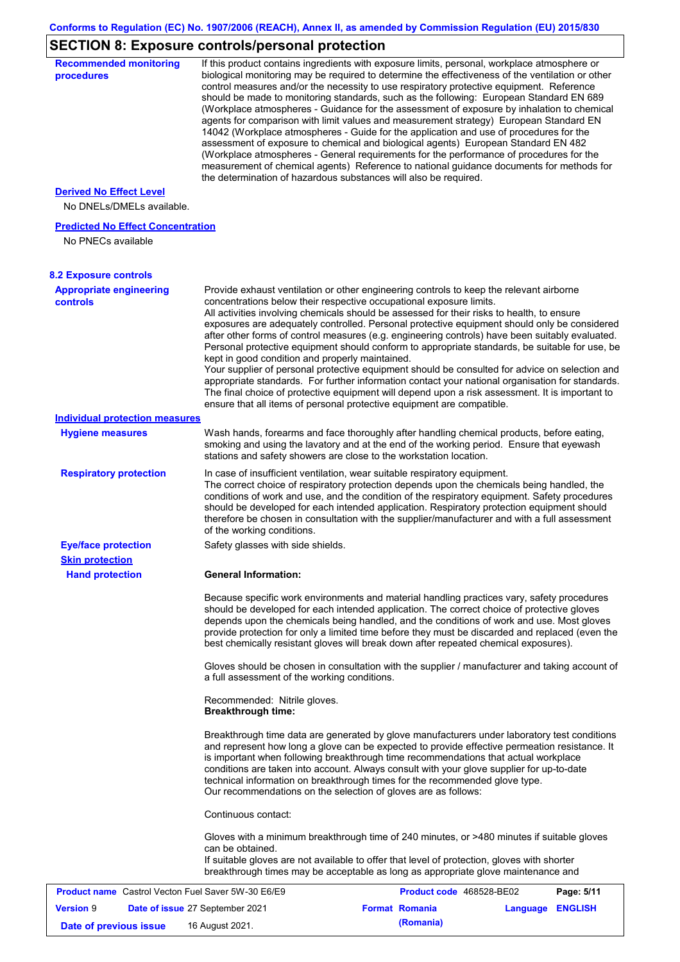# **SECTION 8: Exposure controls/personal protection**

| <b>Recommended monitoring</b><br>procedures                    |                                                           | If this product contains ingredients with exposure limits, personal, workplace atmosphere or<br>biological monitoring may be required to determine the effectiveness of the ventilation or other<br>control measures and/or the necessity to use respiratory protective equipment. Reference<br>should be made to monitoring standards, such as the following: European Standard EN 689<br>(Workplace atmospheres - Guidance for the assessment of exposure by inhalation to chemical<br>agents for comparison with limit values and measurement strategy) European Standard EN<br>14042 (Workplace atmospheres - Guide for the application and use of procedures for the<br>assessment of exposure to chemical and biological agents) European Standard EN 482<br>(Workplace atmospheres - General requirements for the performance of procedures for the<br>measurement of chemical agents) Reference to national guidance documents for methods for<br>the determination of hazardous substances will also be required. |                  |            |
|----------------------------------------------------------------|-----------------------------------------------------------|----------------------------------------------------------------------------------------------------------------------------------------------------------------------------------------------------------------------------------------------------------------------------------------------------------------------------------------------------------------------------------------------------------------------------------------------------------------------------------------------------------------------------------------------------------------------------------------------------------------------------------------------------------------------------------------------------------------------------------------------------------------------------------------------------------------------------------------------------------------------------------------------------------------------------------------------------------------------------------------------------------------------------|------------------|------------|
| <b>Derived No Effect Level</b><br>No DNELs/DMELs available.    |                                                           |                                                                                                                                                                                                                                                                                                                                                                                                                                                                                                                                                                                                                                                                                                                                                                                                                                                                                                                                                                                                                            |                  |            |
| <b>Predicted No Effect Concentration</b><br>No PNECs available |                                                           |                                                                                                                                                                                                                                                                                                                                                                                                                                                                                                                                                                                                                                                                                                                                                                                                                                                                                                                                                                                                                            |                  |            |
| <b>8.2 Exposure controls</b>                                   |                                                           |                                                                                                                                                                                                                                                                                                                                                                                                                                                                                                                                                                                                                                                                                                                                                                                                                                                                                                                                                                                                                            |                  |            |
| <b>Appropriate engineering</b><br><b>controls</b>              | kept in good condition and properly maintained.           | Provide exhaust ventilation or other engineering controls to keep the relevant airborne<br>concentrations below their respective occupational exposure limits.<br>All activities involving chemicals should be assessed for their risks to health, to ensure<br>exposures are adequately controlled. Personal protective equipment should only be considered<br>after other forms of control measures (e.g. engineering controls) have been suitably evaluated.<br>Personal protective equipment should conform to appropriate standards, be suitable for use, be<br>Your supplier of personal protective equipment should be consulted for advice on selection and<br>appropriate standards. For further information contact your national organisation for standards.<br>The final choice of protective equipment will depend upon a risk assessment. It is important to<br>ensure that all items of personal protective equipment are compatible.                                                                       |                  |            |
| <b>Individual protection measures</b>                          |                                                           |                                                                                                                                                                                                                                                                                                                                                                                                                                                                                                                                                                                                                                                                                                                                                                                                                                                                                                                                                                                                                            |                  |            |
| <b>Hygiene measures</b>                                        |                                                           | Wash hands, forearms and face thoroughly after handling chemical products, before eating,<br>smoking and using the lavatory and at the end of the working period. Ensure that eyewash<br>stations and safety showers are close to the workstation location.                                                                                                                                                                                                                                                                                                                                                                                                                                                                                                                                                                                                                                                                                                                                                                |                  |            |
| <b>Respiratory protection</b>                                  | of the working conditions.                                | In case of insufficient ventilation, wear suitable respiratory equipment.<br>The correct choice of respiratory protection depends upon the chemicals being handled, the<br>conditions of work and use, and the condition of the respiratory equipment. Safety procedures<br>should be developed for each intended application. Respiratory protection equipment should<br>therefore be chosen in consultation with the supplier/manufacturer and with a full assessment                                                                                                                                                                                                                                                                                                                                                                                                                                                                                                                                                    |                  |            |
| <b>Eye/face protection</b><br><b>Skin protection</b>           | Safety glasses with side shields.                         |                                                                                                                                                                                                                                                                                                                                                                                                                                                                                                                                                                                                                                                                                                                                                                                                                                                                                                                                                                                                                            |                  |            |
| <b>Hand protection</b>                                         | <b>General Information:</b>                               |                                                                                                                                                                                                                                                                                                                                                                                                                                                                                                                                                                                                                                                                                                                                                                                                                                                                                                                                                                                                                            |                  |            |
|                                                                |                                                           | Because specific work environments and material handling practices vary, safety procedures<br>should be developed for each intended application. The correct choice of protective gloves<br>depends upon the chemicals being handled, and the conditions of work and use. Most gloves<br>provide protection for only a limited time before they must be discarded and replaced (even the<br>best chemically resistant gloves will break down after repeated chemical exposures).                                                                                                                                                                                                                                                                                                                                                                                                                                                                                                                                           |                  |            |
|                                                                | a full assessment of the working conditions.              | Gloves should be chosen in consultation with the supplier / manufacturer and taking account of                                                                                                                                                                                                                                                                                                                                                                                                                                                                                                                                                                                                                                                                                                                                                                                                                                                                                                                             |                  |            |
|                                                                | Recommended: Nitrile gloves.<br><b>Breakthrough time:</b> |                                                                                                                                                                                                                                                                                                                                                                                                                                                                                                                                                                                                                                                                                                                                                                                                                                                                                                                                                                                                                            |                  |            |
|                                                                |                                                           | Breakthrough time data are generated by glove manufacturers under laboratory test conditions<br>and represent how long a glove can be expected to provide effective permeation resistance. It<br>is important when following breakthrough time recommendations that actual workplace<br>conditions are taken into account. Always consult with your glove supplier for up-to-date<br>technical information on breakthrough times for the recommended glove type.<br>Our recommendations on the selection of gloves are as follows:                                                                                                                                                                                                                                                                                                                                                                                                                                                                                         |                  |            |
|                                                                | Continuous contact:                                       |                                                                                                                                                                                                                                                                                                                                                                                                                                                                                                                                                                                                                                                                                                                                                                                                                                                                                                                                                                                                                            |                  |            |
|                                                                | can be obtained.                                          | Gloves with a minimum breakthrough time of 240 minutes, or >480 minutes if suitable gloves<br>If suitable gloves are not available to offer that level of protection, gloves with shorter<br>breakthrough times may be acceptable as long as appropriate glove maintenance and                                                                                                                                                                                                                                                                                                                                                                                                                                                                                                                                                                                                                                                                                                                                             |                  |            |
| Product name Castrol Vecton Fuel Saver 5W-30 E6/E9             |                                                           | Product code 468528-BE02                                                                                                                                                                                                                                                                                                                                                                                                                                                                                                                                                                                                                                                                                                                                                                                                                                                                                                                                                                                                   |                  | Page: 5/11 |
| <b>Version 9</b>                                               | Date of issue 27 September 2021                           | <b>Format Romania</b>                                                                                                                                                                                                                                                                                                                                                                                                                                                                                                                                                                                                                                                                                                                                                                                                                                                                                                                                                                                                      | Language ENGLISH |            |
| Date of previous issue                                         | 16 August 2021.                                           | (Romania)                                                                                                                                                                                                                                                                                                                                                                                                                                                                                                                                                                                                                                                                                                                                                                                                                                                                                                                                                                                                                  |                  |            |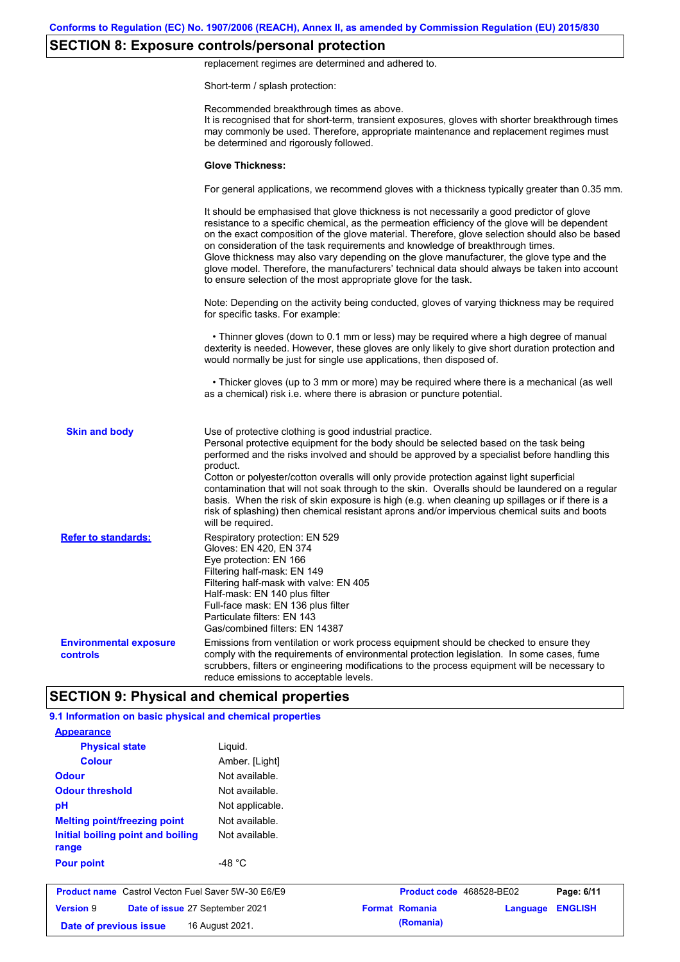# **SECTION 8: Exposure controls/personal protection**

replacement regimes are determined and adhered to.

Short-term / splash protection:

|                                                  | Recommended breakthrough times as above.<br>It is recognised that for short-term, transient exposures, gloves with shorter breakthrough times<br>may commonly be used. Therefore, appropriate maintenance and replacement regimes must<br>be determined and rigorously followed.                                                                                                                                                                                                                                                                                                                                                                                 |
|--------------------------------------------------|------------------------------------------------------------------------------------------------------------------------------------------------------------------------------------------------------------------------------------------------------------------------------------------------------------------------------------------------------------------------------------------------------------------------------------------------------------------------------------------------------------------------------------------------------------------------------------------------------------------------------------------------------------------|
|                                                  | <b>Glove Thickness:</b>                                                                                                                                                                                                                                                                                                                                                                                                                                                                                                                                                                                                                                          |
|                                                  | For general applications, we recommend gloves with a thickness typically greater than 0.35 mm.                                                                                                                                                                                                                                                                                                                                                                                                                                                                                                                                                                   |
|                                                  | It should be emphasised that glove thickness is not necessarily a good predictor of glove<br>resistance to a specific chemical, as the permeation efficiency of the glove will be dependent<br>on the exact composition of the glove material. Therefore, glove selection should also be based<br>on consideration of the task requirements and knowledge of breakthrough times.<br>Glove thickness may also vary depending on the glove manufacturer, the glove type and the<br>glove model. Therefore, the manufacturers' technical data should always be taken into account<br>to ensure selection of the most appropriate glove for the task.                |
|                                                  | Note: Depending on the activity being conducted, gloves of varying thickness may be required<br>for specific tasks. For example:                                                                                                                                                                                                                                                                                                                                                                                                                                                                                                                                 |
|                                                  | • Thinner gloves (down to 0.1 mm or less) may be required where a high degree of manual<br>dexterity is needed. However, these gloves are only likely to give short duration protection and<br>would normally be just for single use applications, then disposed of.                                                                                                                                                                                                                                                                                                                                                                                             |
|                                                  | • Thicker gloves (up to 3 mm or more) may be required where there is a mechanical (as well<br>as a chemical) risk i.e. where there is abrasion or puncture potential.                                                                                                                                                                                                                                                                                                                                                                                                                                                                                            |
| <b>Skin and body</b>                             | Use of protective clothing is good industrial practice.<br>Personal protective equipment for the body should be selected based on the task being<br>performed and the risks involved and should be approved by a specialist before handling this<br>product.<br>Cotton or polyester/cotton overalls will only provide protection against light superficial<br>contamination that will not soak through to the skin. Overalls should be laundered on a regular<br>basis. When the risk of skin exposure is high (e.g. when cleaning up spillages or if there is a<br>risk of splashing) then chemical resistant aprons and/or impervious chemical suits and boots |
| <b>Refer to standards:</b>                       | will be required.<br>Respiratory protection: EN 529<br>Gloves: EN 420, EN 374<br>Eye protection: EN 166<br>Filtering half-mask: EN 149<br>Filtering half-mask with valve: EN 405<br>Half-mask: EN 140 plus filter<br>Full-face mask: EN 136 plus filter<br>Particulate filters: EN 143<br>Gas/combined filters: EN 14387                                                                                                                                                                                                                                                                                                                                         |
| <b>Environmental exposure</b><br><b>controls</b> | Emissions from ventilation or work process equipment should be checked to ensure they<br>comply with the requirements of environmental protection legislation. In some cases, fume<br>scrubbers, filters or engineering modifications to the process equipment will be necessary to<br>reduce emissions to acceptable levels.                                                                                                                                                                                                                                                                                                                                    |
|                                                  | <b>SECTION 9: Physical and chemical properties</b>                                                                                                                                                                                                                                                                                                                                                                                                                                                                                                                                                                                                               |

| <b>Version 9</b><br>Date of issue 27 September 2021<br>Date of previous issue | 16 August 2021.  | <b>Format Romania</b><br>(Romania) | Language | <b>ENGLISH</b> |
|-------------------------------------------------------------------------------|------------------|------------------------------------|----------|----------------|
| <b>Product name</b> Castrol Vecton Fuel Saver 5W-30 E6/E9                     |                  | Product code 468528-BE02           |          | Page: 6/11     |
| <b>Pour point</b>                                                             | -48 $^{\circ}$ C |                                    |          |                |
| range                                                                         |                  |                                    |          |                |
| Initial boiling point and boiling                                             | Not available.   |                                    |          |                |
| <b>Melting point/freezing point</b>                                           | Not available.   |                                    |          |                |
| pH                                                                            | Not applicable.  |                                    |          |                |
| <b>Odour threshold</b>                                                        | Not available.   |                                    |          |                |
| <b>Odour</b>                                                                  | Not available.   |                                    |          |                |
| <b>Colour</b>                                                                 | Amber. [Light]   |                                    |          |                |
| <b>Physical state</b>                                                         | Liguid.          |                                    |          |                |
| <b>Appearance</b>                                                             |                  |                                    |          |                |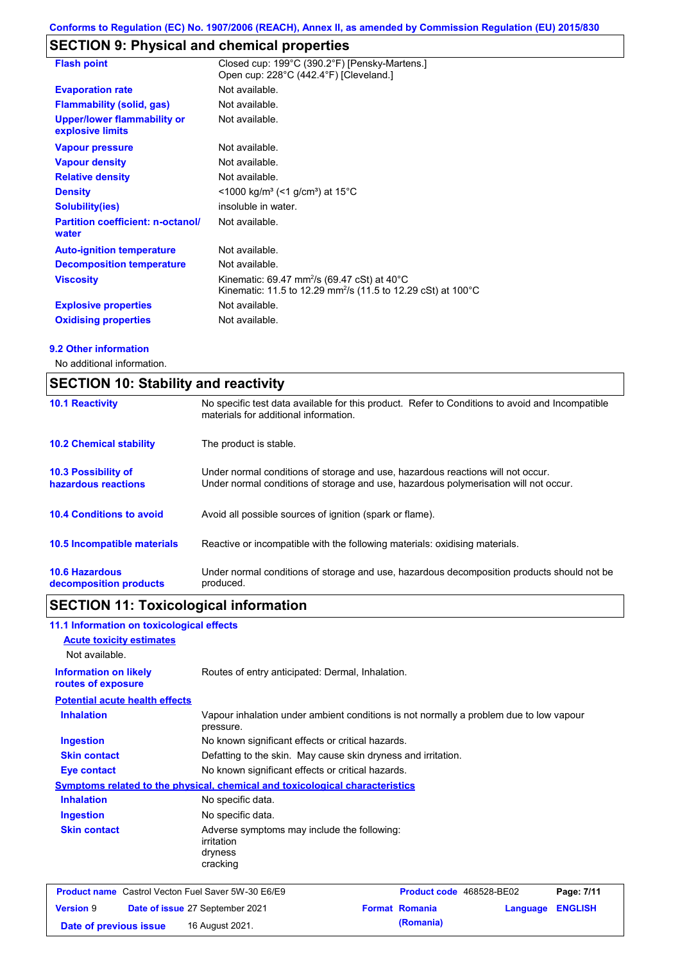# **SECTION 9: Physical and chemical properties**

| <b>Flash point</b>                                     | Closed cup: 199°C (390.2°F) [Pensky-Martens.]<br>Open cup: 228°C (442.4°F) [Cleveland.]                                                         |
|--------------------------------------------------------|-------------------------------------------------------------------------------------------------------------------------------------------------|
| <b>Evaporation rate</b>                                | Not available.                                                                                                                                  |
| <b>Flammability (solid, gas)</b>                       | Not available.                                                                                                                                  |
| <b>Upper/lower flammability or</b><br>explosive limits | Not available.                                                                                                                                  |
| <b>Vapour pressure</b>                                 | Not available.                                                                                                                                  |
| <b>Vapour density</b>                                  | Not available.                                                                                                                                  |
| <b>Relative density</b>                                | Not available.                                                                                                                                  |
| <b>Density</b>                                         | <1000 kg/m <sup>3</sup> (<1 g/cm <sup>3</sup> ) at 15 <sup>°</sup> C                                                                            |
| <b>Solubility(ies)</b>                                 | insoluble in water.                                                                                                                             |
| <b>Partition coefficient: n-octanol/</b><br>water      | Not available.                                                                                                                                  |
| <b>Auto-ignition temperature</b>                       | Not available.                                                                                                                                  |
| <b>Decomposition temperature</b>                       | Not available.                                                                                                                                  |
| <b>Viscosity</b>                                       | Kinematic: 69.47 mm <sup>2</sup> /s (69.47 cSt) at 40 $^{\circ}$ C<br>Kinematic: 11.5 to 12.29 mm <sup>2</sup> /s (11.5 to 12.29 cSt) at 100 °C |
| <b>Explosive properties</b>                            | Not available.                                                                                                                                  |
| <b>Oxidising properties</b>                            | Not available.                                                                                                                                  |

#### **9.2 Other information**

No additional information.

| <b>SECTION 10: Stability and reactivity</b>       |                                                                                                                                                                         |  |  |
|---------------------------------------------------|-------------------------------------------------------------------------------------------------------------------------------------------------------------------------|--|--|
| <b>10.1 Reactivity</b>                            | No specific test data available for this product. Refer to Conditions to avoid and Incompatible<br>materials for additional information.                                |  |  |
| <b>10.2 Chemical stability</b>                    | The product is stable.                                                                                                                                                  |  |  |
| <b>10.3 Possibility of</b><br>hazardous reactions | Under normal conditions of storage and use, hazardous reactions will not occur.<br>Under normal conditions of storage and use, hazardous polymerisation will not occur. |  |  |
| <b>10.4 Conditions to avoid</b>                   | Avoid all possible sources of ignition (spark or flame).                                                                                                                |  |  |
| 10.5 Incompatible materials                       | Reactive or incompatible with the following materials: oxidising materials.                                                                                             |  |  |
| <b>10.6 Hazardous</b><br>decomposition products   | Under normal conditions of storage and use, hazardous decomposition products should not be<br>produced.                                                                 |  |  |

# **SECTION 11: Toxicological information**

| 11.1 Information on toxicological effects                 |                                                                                                     |                                                   |                          |          |                |
|-----------------------------------------------------------|-----------------------------------------------------------------------------------------------------|---------------------------------------------------|--------------------------|----------|----------------|
| <b>Acute toxicity estimates</b>                           |                                                                                                     |                                                   |                          |          |                |
| Not available.                                            |                                                                                                     |                                                   |                          |          |                |
| <b>Information on likely</b><br>routes of exposure        | Routes of entry anticipated: Dermal, Inhalation.                                                    |                                                   |                          |          |                |
| <b>Potential acute health effects</b>                     |                                                                                                     |                                                   |                          |          |                |
| <b>Inhalation</b>                                         | Vapour inhalation under ambient conditions is not normally a problem due to low vapour<br>pressure. |                                                   |                          |          |                |
| <b>Ingestion</b>                                          |                                                                                                     | No known significant effects or critical hazards. |                          |          |                |
| <b>Skin contact</b>                                       | Defatting to the skin. May cause skin dryness and irritation.                                       |                                                   |                          |          |                |
| <b>Eye contact</b>                                        | No known significant effects or critical hazards.                                                   |                                                   |                          |          |                |
|                                                           | Symptoms related to the physical, chemical and toxicological characteristics                        |                                                   |                          |          |                |
| <b>Inhalation</b>                                         | No specific data.                                                                                   |                                                   |                          |          |                |
| <b>Ingestion</b>                                          | No specific data.                                                                                   |                                                   |                          |          |                |
| <b>Skin contact</b>                                       | Adverse symptoms may include the following:<br>irritation<br>dryness<br>cracking                    |                                                   |                          |          |                |
| <b>Product name</b> Castrol Vecton Fuel Saver 5W-30 E6/E9 |                                                                                                     |                                                   | Product code 468528-BE02 |          | Page: 7/11     |
| <b>Version 9</b>                                          | Date of issue 27 September 2021                                                                     |                                                   | <b>Format Romania</b>    | Language | <b>ENGLISH</b> |
| Date of previous issue                                    | 16 August 2021.                                                                                     |                                                   | (Romania)                |          |                |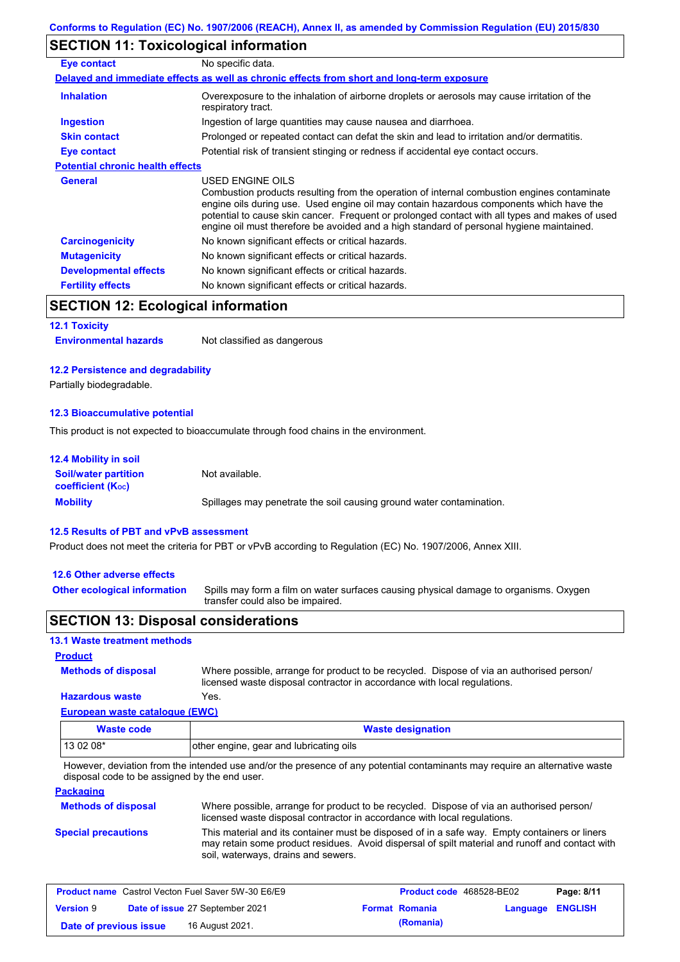## **SECTION 11: Toxicological information**

| <b>Eye contact</b>                      | No specific data.                                                                                                                                                                                                                                                                                                                                                                                        |
|-----------------------------------------|----------------------------------------------------------------------------------------------------------------------------------------------------------------------------------------------------------------------------------------------------------------------------------------------------------------------------------------------------------------------------------------------------------|
|                                         | Delayed and immediate effects as well as chronic effects from short and long-term exposure                                                                                                                                                                                                                                                                                                               |
| <b>Inhalation</b>                       | Overexposure to the inhalation of airborne droplets or aerosols may cause irritation of the<br>respiratory tract.                                                                                                                                                                                                                                                                                        |
| <b>Ingestion</b>                        | Ingestion of large quantities may cause nausea and diarrhoea.                                                                                                                                                                                                                                                                                                                                            |
| <b>Skin contact</b>                     | Prolonged or repeated contact can defat the skin and lead to irritation and/or dermatitis.                                                                                                                                                                                                                                                                                                               |
| Eye contact                             | Potential risk of transient stinging or redness if accidental eye contact occurs.                                                                                                                                                                                                                                                                                                                        |
| <b>Potential chronic health effects</b> |                                                                                                                                                                                                                                                                                                                                                                                                          |
| <b>General</b>                          | USED ENGINE OILS<br>Combustion products resulting from the operation of internal combustion engines contaminate<br>engine oils during use. Used engine oil may contain hazardous components which have the<br>potential to cause skin cancer. Frequent or prolonged contact with all types and makes of used<br>engine oil must therefore be avoided and a high standard of personal hygiene maintained. |
| <b>Carcinogenicity</b>                  | No known significant effects or critical hazards.                                                                                                                                                                                                                                                                                                                                                        |
| <b>Mutagenicity</b>                     | No known significant effects or critical hazards.                                                                                                                                                                                                                                                                                                                                                        |
| <b>Developmental effects</b>            | No known significant effects or critical hazards.                                                                                                                                                                                                                                                                                                                                                        |
| <b>Fertility effects</b>                | No known significant effects or critical hazards.                                                                                                                                                                                                                                                                                                                                                        |

## **SECTION 12: Ecological information**

#### **12.1 Toxicity**

| <b>Environmental hazards</b> | Not classified as dangerous |
|------------------------------|-----------------------------|
|------------------------------|-----------------------------|

#### **12.2 Persistence and degradability**

Partially biodegradable.

#### **12.3 Bioaccumulative potential**

This product is not expected to bioaccumulate through food chains in the environment.

| <b>12.4 Mobility in soil</b>                                  |                                                                      |
|---------------------------------------------------------------|----------------------------------------------------------------------|
| <b>Soil/water partition</b><br>coefficient (K <sub>oc</sub> ) | Not available.                                                       |
| <b>Mobility</b>                                               | Spillages may penetrate the soil causing ground water contamination. |

#### **12.5 Results of PBT and vPvB assessment**

Product does not meet the criteria for PBT or vPvB according to Regulation (EC) No. 1907/2006, Annex XIII.

#### **12.6 Other adverse effects**

**Other ecological information**

Spills may form a film on water surfaces causing physical damage to organisms. Oxygen transfer could also be impaired.

### **SECTION 13: Disposal considerations**

### **13.1 Waste treatment methods**

**Methods of disposal**

**Product**

**Hazardous waste** Yes. Where possible, arrange for product to be recycled. Dispose of via an authorised person/ licensed waste disposal contractor in accordance with local regulations.

#### **European waste catalogue (EWC)**

| <b>Waste code</b> | <b>Waste designation</b>                |
|-------------------|-----------------------------------------|
| 13 02 08*         | other engine, gear and lubricating oils |

However, deviation from the intended use and/or the presence of any potential contaminants may require an alternative waste disposal code to be assigned by the end user.

#### **Packaging**

| <b>Methods of disposal</b> | Where possible, arrange for product to be recycled. Dispose of via an authorised person/<br>licensed waste disposal contractor in accordance with local regulations.                                                                    |
|----------------------------|-----------------------------------------------------------------------------------------------------------------------------------------------------------------------------------------------------------------------------------------|
| <b>Special precautions</b> | This material and its container must be disposed of in a safe way. Empty containers or liners<br>may retain some product residues. Avoid dispersal of spilt material and runoff and contact with<br>soil, waterways, drains and sewers. |

| <b>Product name</b> Castrol Vecton Fuel Saver 5W-30 E6/E9 |  |                                 | Product code 468528-BE02 | Page: 8/11            |                         |  |
|-----------------------------------------------------------|--|---------------------------------|--------------------------|-----------------------|-------------------------|--|
| <b>Version 9</b>                                          |  | Date of issue 27 September 2021 |                          | <b>Format Romania</b> | <b>Language ENGLISH</b> |  |
| Date of previous issue                                    |  | 16 August 2021.                 |                          | (Romania)             |                         |  |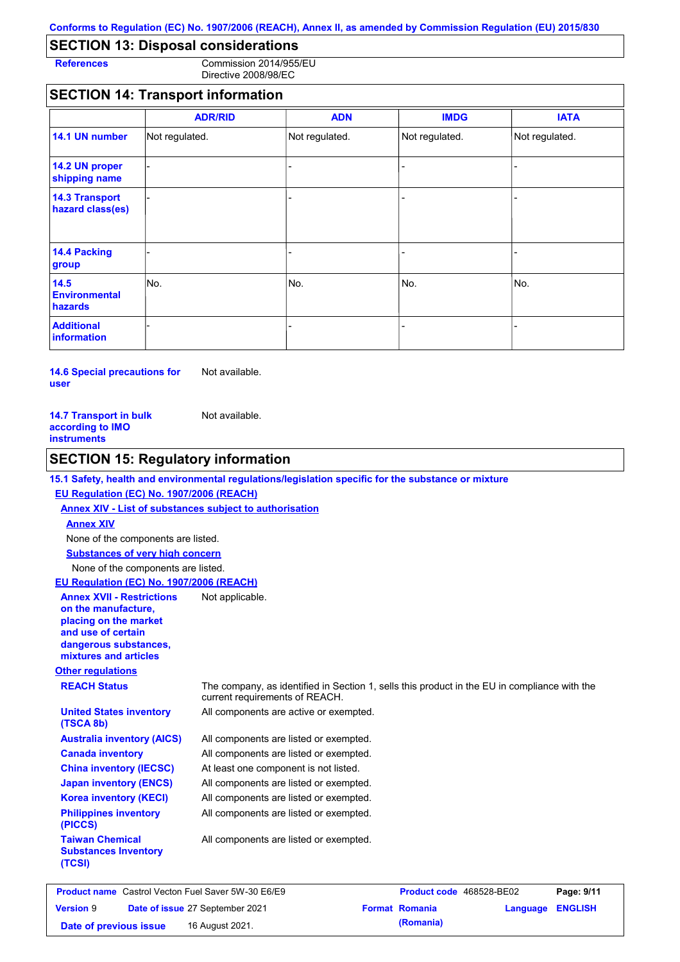# **SECTION 13: Disposal considerations**

**References** Commission 2014/955/EU Directive 2008/98/EC

## **SECTION 14: Transport information**

|                                           | <b>ADR/RID</b> | <b>ADN</b>     | <b>IMDG</b>    | <b>IATA</b>    |
|-------------------------------------------|----------------|----------------|----------------|----------------|
| 14.1 UN number                            | Not regulated. | Not regulated. | Not regulated. | Not regulated. |
| 14.2 UN proper<br>shipping name           |                |                |                |                |
| <b>14.3 Transport</b><br>hazard class(es) |                |                | $\overline{a}$ |                |
| 14.4 Packing<br>group                     |                |                | -              |                |
| 14.5<br><b>Environmental</b><br>hazards   | No.            | No.            | No.            | No.            |
| <b>Additional</b><br>information          |                |                |                |                |

**14.6 Special precautions for user** Not available.

| <b>14.7 Transport in bulk</b> | Not available. |
|-------------------------------|----------------|
| according to IMO              |                |
| instruments                   |                |

## **SECTION 15: Regulatory information**

#### **15.1 Safety, health and environmental regulations/legislation specific for the substance or mixture**

#### **EU Regulation (EC) No. 1907/2006 (REACH)**

**Annex XIV - List of substances subject to authorisation Substances of very high concern** None of the components are listed. None of the components are listed. **Annex XIV**

## **EU Regulation (EC) No. 1907/2006 (REACH)**

| <b>Annex XVII - Restrictions</b><br>on the manufacture,<br>placing on the market<br>and use of certain<br>dangerous substances,<br>mixtures and articles | Not applicable.                                                                                                                |
|----------------------------------------------------------------------------------------------------------------------------------------------------------|--------------------------------------------------------------------------------------------------------------------------------|
| <b>Other regulations</b>                                                                                                                                 |                                                                                                                                |
| <b>REACH Status</b>                                                                                                                                      | The company, as identified in Section 1, sells this product in the EU in compliance with the<br>current requirements of REACH. |
| <b>United States inventory</b><br>(TSCA 8b)                                                                                                              | All components are active or exempted.                                                                                         |
| <b>Australia inventory (AICS)</b>                                                                                                                        | All components are listed or exempted.                                                                                         |
| <b>Canada inventory</b>                                                                                                                                  | All components are listed or exempted.                                                                                         |
| <b>China inventory (IECSC)</b>                                                                                                                           | At least one component is not listed.                                                                                          |
| <b>Japan inventory (ENCS)</b>                                                                                                                            | All components are listed or exempted.                                                                                         |
| <b>Korea inventory (KECI)</b>                                                                                                                            | All components are listed or exempted.                                                                                         |
| <b>Philippines inventory</b><br>(PICCS)                                                                                                                  | All components are listed or exempted.                                                                                         |
| <b>Taiwan Chemical</b><br><b>Substances Inventory</b><br>(TCSI)                                                                                          | All components are listed or exempted.                                                                                         |

| <b>Product name</b> Castrol Vecton Fuel Saver 5W-30 E6/E9 |  |                                 | <b>Product code</b> 468528-BE02 |                       | Page: 9/11       |  |
|-----------------------------------------------------------|--|---------------------------------|---------------------------------|-----------------------|------------------|--|
| <b>Version 9</b>                                          |  | Date of issue 27 September 2021 |                                 | <b>Format Romania</b> | Language ENGLISH |  |
| Date of previous issue                                    |  | 16 August 2021.                 |                                 | (Romania)             |                  |  |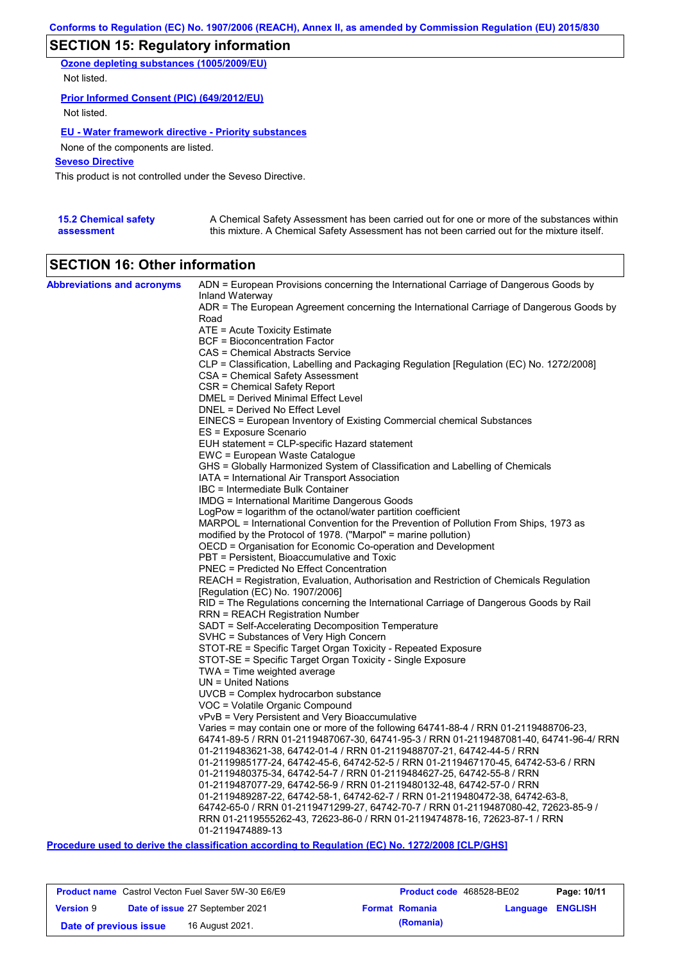# **SECTION 15: Regulatory information**

**Ozone depleting substances (1005/2009/EU)** Not listed.

#### **Prior Informed Consent (PIC) (649/2012/EU)**

Not listed.

### **EU - Water framework directive - Priority substances**

None of the components are listed.

### **Seveso Directive**

This product is not controlled under the Seveso Directive.

| <b>15.2 Chemical safety</b> | A Chemical Safety Assessment has been carried out for one or more of the substances within  |
|-----------------------------|---------------------------------------------------------------------------------------------|
| assessment                  | this mixture. A Chemical Safety Assessment has not been carried out for the mixture itself. |

## **SECTION 16: Other information**

| <b>Abbreviations and acronyms</b> | ADN = European Provisions concerning the International Carriage of Dangerous Goods by<br>Inland Waterway                                                           |
|-----------------------------------|--------------------------------------------------------------------------------------------------------------------------------------------------------------------|
|                                   | ADR = The European Agreement concerning the International Carriage of Dangerous Goods by                                                                           |
|                                   | Road                                                                                                                                                               |
|                                   | ATE = Acute Toxicity Estimate                                                                                                                                      |
|                                   | <b>BCF</b> = Bioconcentration Factor                                                                                                                               |
|                                   | CAS = Chemical Abstracts Service                                                                                                                                   |
|                                   | CLP = Classification, Labelling and Packaging Regulation [Regulation (EC) No. 1272/2008]                                                                           |
|                                   | CSA = Chemical Safety Assessment                                                                                                                                   |
|                                   | CSR = Chemical Safety Report                                                                                                                                       |
|                                   | <b>DMEL = Derived Minimal Effect Level</b>                                                                                                                         |
|                                   | DNEL = Derived No Effect Level<br>EINECS = European Inventory of Existing Commercial chemical Substances                                                           |
|                                   | ES = Exposure Scenario                                                                                                                                             |
|                                   | EUH statement = CLP-specific Hazard statement                                                                                                                      |
|                                   | EWC = European Waste Catalogue                                                                                                                                     |
|                                   | GHS = Globally Harmonized System of Classification and Labelling of Chemicals                                                                                      |
|                                   | IATA = International Air Transport Association                                                                                                                     |
|                                   | IBC = Intermediate Bulk Container                                                                                                                                  |
|                                   | IMDG = International Maritime Dangerous Goods                                                                                                                      |
|                                   | LogPow = logarithm of the octanol/water partition coefficient                                                                                                      |
|                                   | MARPOL = International Convention for the Prevention of Pollution From Ships, 1973 as                                                                              |
|                                   | modified by the Protocol of 1978. ("Marpol" = marine pollution)                                                                                                    |
|                                   | OECD = Organisation for Economic Co-operation and Development<br>PBT = Persistent, Bioaccumulative and Toxic                                                       |
|                                   | PNEC = Predicted No Effect Concentration                                                                                                                           |
|                                   | REACH = Registration, Evaluation, Authorisation and Restriction of Chemicals Regulation                                                                            |
|                                   | [Regulation (EC) No. 1907/2006]                                                                                                                                    |
|                                   | RID = The Regulations concerning the International Carriage of Dangerous Goods by Rail                                                                             |
|                                   | RRN = REACH Registration Number                                                                                                                                    |
|                                   | SADT = Self-Accelerating Decomposition Temperature                                                                                                                 |
|                                   | SVHC = Substances of Very High Concern                                                                                                                             |
|                                   | STOT-RE = Specific Target Organ Toxicity - Repeated Exposure                                                                                                       |
|                                   | STOT-SE = Specific Target Organ Toxicity - Single Exposure                                                                                                         |
|                                   | TWA = Time weighted average<br>$UN = United Nations$                                                                                                               |
|                                   | UVCB = Complex hydrocarbon substance                                                                                                                               |
|                                   | VOC = Volatile Organic Compound                                                                                                                                    |
|                                   | vPvB = Very Persistent and Very Bioaccumulative                                                                                                                    |
|                                   | Varies = may contain one or more of the following $64741-88-4$ / RRN 01-2119488706-23,                                                                             |
|                                   | 64741-89-5 / RRN 01-2119487067-30, 64741-95-3 / RRN 01-2119487081-40, 64741-96-4/ RRN                                                                              |
|                                   | 01-2119483621-38, 64742-01-4 / RRN 01-2119488707-21, 64742-44-5 / RRN                                                                                              |
|                                   | 01-2119985177-24, 64742-45-6, 64742-52-5 / RRN 01-2119467170-45, 64742-53-6 / RRN                                                                                  |
|                                   | 01-2119480375-34, 64742-54-7 / RRN 01-2119484627-25, 64742-55-8 / RRN                                                                                              |
|                                   | 01-2119487077-29, 64742-56-9 / RRN 01-2119480132-48, 64742-57-0 / RRN                                                                                              |
|                                   | 01-2119489287-22, 64742-58-1, 64742-62-7 / RRN 01-2119480472-38, 64742-63-8,<br>64742-65-0 / RRN 01-2119471299-27, 64742-70-7 / RRN 01-2119487080-42, 72623-85-9 / |
|                                   | RRN 01-2119555262-43, 72623-86-0 / RRN 01-2119474878-16, 72623-87-1 / RRN                                                                                          |
|                                   | 01-2119474889-13                                                                                                                                                   |
|                                   |                                                                                                                                                                    |

**Procedure used to derive the classification according to Regulation (EC) No. 1272/2008 [CLP/GHS]**

| <b>Product name</b> Castrol Vecton Fuel Saver 5W-30 E6/E9 |  |                                        | <b>Product code</b> 468528-BE02 |                         | Page: 10/11 |
|-----------------------------------------------------------|--|----------------------------------------|---------------------------------|-------------------------|-------------|
| <b>Version 9</b>                                          |  | <b>Date of issue 27 September 2021</b> | <b>Format Romania</b>           | <b>Language ENGLISH</b> |             |
| Date of previous issue                                    |  | 16 August 2021.                        | (Romania)                       |                         |             |